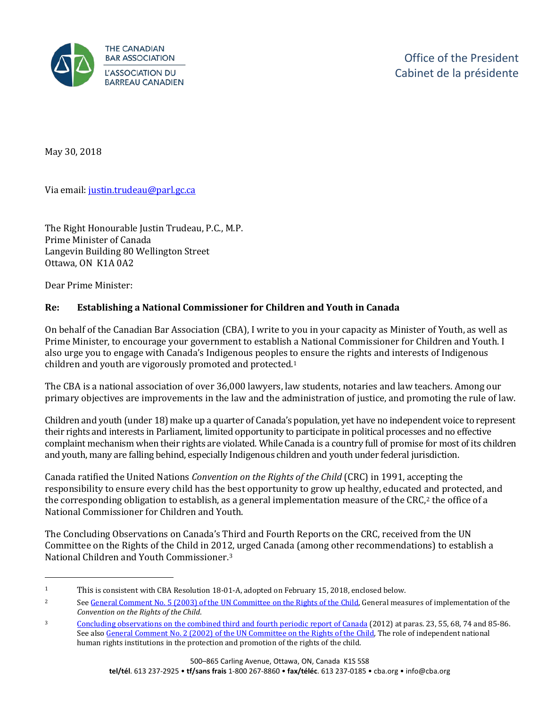

May 30, 2018

Via email: [justin.trudeau@parl.gc.ca](mailto:justin.trudeau@parl.gc.ca) 

The Right Honourable Justin Trudeau, P.C., M.P. Prime Minister of Canada Langevin Building 80 Wellington Street Ottawa, ON K1A 0A2

Dear Prime Minister:

j

## **Re: Establishing a National Commissioner for Children and Youth in Canada**

On behalf of the Canadian Bar Association (CBA), I write to you in your capacity as Minister of Youth, as well as Prime Minister, to encourage your government to establish a National Commissioner for Children and Youth. I also urge you to engage with Canada's Indigenous peoples to ensure the rights and interests of Indigenous children and youth are vigorously promoted and protected.[1](#page-0-0) 

The CBA is a national association of over 36,000 lawyers, law students, notaries and law teachers. Among our primary objectives are improvements in the law and the administration of justice, and promoting the rule of law.

Children and youth (under 18) make up a quarter of Canada's population, yet have no independent voice to represent their rights and interests in Parliament, limited opportunity to participate in political processes and no effective complaint mechanism when their rights are violated. While Canada is a country full of promise for most of its children and youth, many are falling behind, especially Indigenous children and youth under federal jurisdiction.

Canada ratified the United Nations *Convention on the Rights of the Child* (CRC) in 1991, accepting the responsibility to ensure every child has the best opportunity to grow up healthy, educated and protected, and the corresponding obligation to establish, as a general implementation measure of the CRC, $^2$  $^2$  the office of a National Commissioner for Children and Youth.

The Concluding Observations on Canada's Third and Fourth Reports on the CRC, received from the UN Committee on the Rights of the Child in 201[2,](#page-0-2) urged Canada (among other recommendations) to establish a National Children and Youth Commissioner.3

<span id="page-0-0"></span><sup>1</sup> This is consistent with CBA Resolution 18-01-A, adopted on February 15, 2018, enclosed below.

<span id="page-0-1"></span><sup>2</sup> See General Comment No. 5 (2003) [of the UN Committee on the Rights of the Child,](http://tbinternet.ohchr.org/_layouts/treatybodyexternal/Download.aspx?symbolno=CRC%2fGC%2f2003%2f5&Lang=en) General measures of implementation of the *Convention on the Rights of the Child*.

<span id="page-0-2"></span><sup>3</sup> [Concluding observations on the combined third and fourth periodic report of Canada](http://tbinternet.ohchr.org/_layouts/treatybodyexternal/Download.aspx?symbolno=CRC/C/CAN/CO/3-4&Lang=En) (2012) at paras. 23, 55, 68, 74 and 85-86. See also [General Comment No. 2 \(2002\) of the UN Committee on the Rights of the Child,](http://tbinternet.ohchr.org/_layouts/treatybodyexternal/Download.aspx?symbolno=CRC%2fGC%2f2002%2f2&Lang=en) The role of independent national human rights institutions in the protection and promotion of the rights of the child.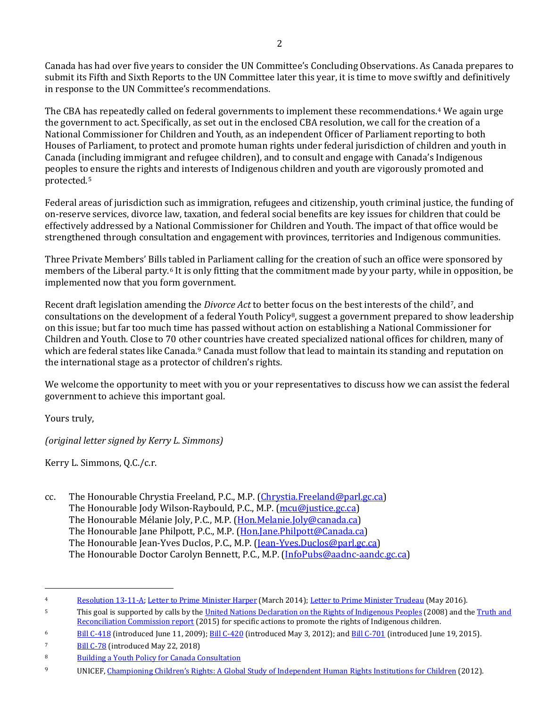Canada has had over five years to consider the UN Committee's Concluding Observations. As Canada prepares to submit its Fifth and Sixth Reports to the UN Committee later this year, it is time to move swiftly and definitively in response to the UN Committee's recommendations.

The CBA has repeatedly called on federal governments to implement these recommendations.[4](#page-1-0) We again urge the government to act. Specifically, as set out in the enclosed CBA resolution, we call for the creation of a National Commissioner for Children and Youth, as an independent Officer of Parliament reporting to both Houses of Parliament, to protect and promote human rights under federal jurisdiction of children and youth in Canada (including immigrant and refugee children), and to consult and engage with Canada's Indigenous peoples to [e](#page-1-1)nsure the rights and interests of Indigenous children and youth are vigorously promoted and protected.5

Federal areas of jurisdiction such as immigration, refugees and citizenship, youth criminal justice, the funding of on-reserve services, divorce law, taxation, and federal social benefits are key issues for children that could be effectively addressed by a National Commissioner for Children and Youth. The impact of that office would be strengthened through consultation and engagement with provinces, territories and Indigenous communities.

Three Private Members' Bills tabled in Parliament calling for the creation of such an office were sponsored by members of the Liberal party.[6](#page-1-2) It is only fitting that the commitment made by your party, while in opposition, be implemented now that you form government.

Recent draft legislation amending the *Divorce Act* to better focus on the best interests of the child<sup>[7](#page-1-3)</sup>, and consultations on the development of a federal Youth Policy[8](#page-1-4), suggest a government prepared to show leadership on this issue; but far too much time has passed without action on establishing a National Commissioner for Children and Youth. Close to 70 other countries have created specialized national offices for children, many of which are federal states like Canada.<sup>[9](#page-1-5)</sup> Canada must follow that lead to maintain its standing and reputation on the international stage as a protector of children's rights.

We welcome the opportunity to meet with you or your representatives to discuss how we can assist the federal government to achieve this important goal.

Yours truly,

*(original letter signed by Kerry L. Simmons)*

Kerry L. Simmons, Q.C./c.r.

cc. The Honourable Chrystia Freeland, P.C., M.P. [\(Chrystia.Freeland@parl.gc.ca\)](mailto:Chrystia.Freeland@parl.gc.ca) The Honourable Jody Wilson-Raybould, P.C., M.P. [\(mcu@justice.gc.ca\)](mailto:mcu@justice.gc.ca) The Honourable Mélanie Joly, P.C., M.P. [\(Hon.Melanie.Joly@canada.ca\)](mailto:Hon.Melanie.Joly@canada.ca) The Honourable Jane Philpott, P.C., M.P. [\(Hon.Jane.Philpott@Canada.ca\)](mailto:Hon.Jane.Philpott@Canada.ca) The Honourable Jean-Yves Duclos, P.C., M.P. [\(Jean-Yves.Duclos@parl.gc.ca\)](mailto:Jean-Yves.Duclos@parl.gc.ca) The Honourable Doctor Carolyn Bennett, P.C., M.P. [\(InfoPubs@aadnc-aandc.gc.ca\)](mailto:InfoPubs@aadnc-aandc.gc.ca)

<span id="page-1-0"></span>j 4 [Resolution 13-11-A;](http://www.cba.org/getattachment/Our-Work/Resolutions/Resolutions/2013/United-Nations-Convention-on-the-Rights-of-the-Chi/13-11-A-ct.pdf) [Letter to Prime Minister Harper](http://www.cba.org/CMSPages/GetFile.aspx?guid=9ae5aa21-1aa7-456f-87a9-ec7db60aa903) (March 2014)[; Letter to Prime Minister Trudeau](http://www.cba.org/CMSPages/GetFile.aspx?guid=c17871ae-5451-4001-ad6f-c2410dea3369) (May 2016).

<span id="page-1-1"></span><sup>5</sup> This goal is supported by calls by th[e United Nations Declaration on the Rights of Indigenous Peoples](http://www.un.org/esa/socdev/unpfii/documents/DRIPS_en.pdf) (2008) and th[e Truth and](http://www.trc.ca/websites/trcinstitution/File/2015/Findings/Calls_to_Action_English2.pdf)  [Reconciliation Commission report](http://www.trc.ca/websites/trcinstitution/File/2015/Findings/Calls_to_Action_English2.pdf) (2015) for specific actions to promote the rights of Indigenous children.

<span id="page-1-2"></span><sup>&</sup>lt;sup>6</sup> [Bill C-418](http://www.parl.ca/LegisInfo/BillDetails.aspx?Language=E&billId=4328263) (introduced June 11, 2009)[; Bill C-420](http://www.parl.ca/LegisInfo/BillDetails.aspx?Language=E&billId=5514117) (introduced May 3, 2012); an[d Bill C-701](http://www.parl.ca/LegisInfo/BillDetails.aspx?Language=E&billId=8052201) (introduced June 19, 2015).

<span id="page-1-3"></span><sup>7</sup> [Bill C-78](http://www.parl.ca/DocumentViewer/en/42-1/bill/C-78/first-reading) (introduced May 22, 2018)

<span id="page-1-4"></span><sup>8</sup> Building a Youth Policy for Canada Consultation

<span id="page-1-5"></span><sup>9</sup> UNICEF[, Championing Children's Rights: A Global Study of Independent Human Rights Institutions for Children](https://www.unicef-irc.org/publications/669-championing-childrens-rights-a-global-study-of-independent-human-rights-institutions.html) (2012).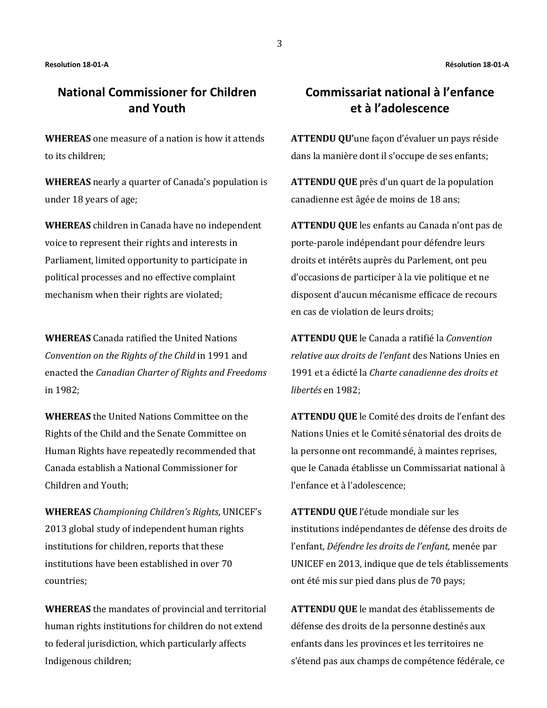## **National Commissioner for Children and Youth**

**WHEREAS** one measure of a nation is how it attends to its children;

**WHEREAS** nearly a quarter of Canada's population is under 18 years of age;

**WHEREAS** children in Canada have no independent voice to represent their rights and interests in Parliament, limited opportunity to participate in political processes and no effective complaint mechanism when their rights are violated;

**WHEREAS** Canada ratified the United Nations *Convention on the Rights of the Child* in 1991 and enacted the *Canadian Charter of Rights and Freedoms* in 1982;

**WHEREAS** the United Nations Committee on the Rights of the Child and the Senate Committee on Human Rights have repeatedly recommended that Canada establish a National Commissioner for Children and Youth;

**WHEREAS** *Championing Children's Rights*, UNICEF's 2013 global study of independent human rights institutions for children, reports that these institutions have been established in over 70 countries;

**WHEREAS** the mandates of provincial and territorial human rights institutions for children do not extend to federal jurisdiction, which particularly affects Indigenous children;

## **Commissariat national à l'enfance et à l'adolescence**

**ATTENDU QU'**une façon d'évaluer un pays réside dans la manière dont il s'occupe de ses enfants;

**ATTENDU QUE** près d'un quart de la population canadienne est âgée de moins de 18 ans;

**ATTENDU QUE** les enfants au Canada n'ont pas de porte-parole indépendant pour défendre leurs droits et intérêts auprès du Parlement, ont peu d'occasions de participer à la vie politique et ne disposent d'aucun mécanisme efficace de recours en cas de violation de leurs droits;

**ATTENDU QUE** le Canada a ratifié la *Convention relative aux droits de l'enfant* des Nations Unies en 1991 et a édicté la *Charte canadienne des droits et libertés* en 1982;

**ATTENDU QUE** le Comité des droits de l'enfant des Nations Unies et le Comité sénatorial des droits de la personne ont recommandé, à maintes reprises, que le Canada établisse un Commissariat national à l'enfance et à l'adolescence;

**ATTENDU QUE** l'étude mondiale sur les institutions indépendantes de défense des droits de l'enfant, *Défendre les droits de l'enfant,* menée par UNICEF en 2013, indique que de tels établissements ont été mis sur pied dans plus de 70 pays;

**ATTENDU QUE** le mandat des établissements de défense des droits de la personne destinés aux enfants dans les provinces et les territoires ne s'étend pas aux champs de compétence fédérale, ce